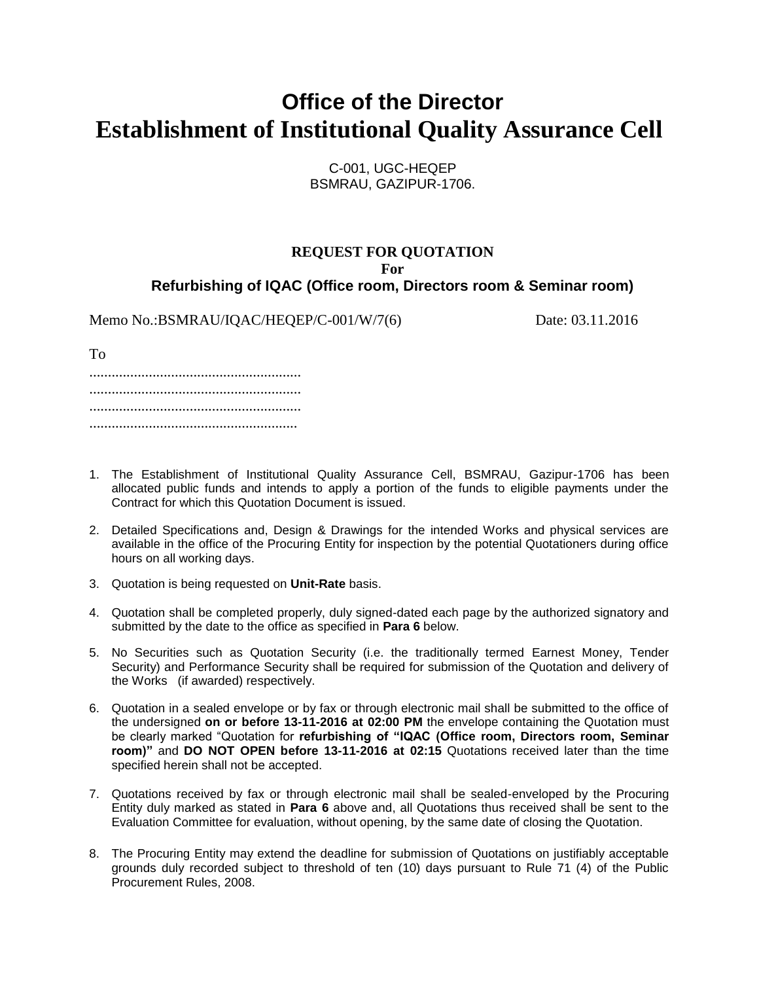## **Office of the Director Establishment of Institutional Quality Assurance Cell**

C-001, UGC-HEQEP BSMRAU, GAZIPUR-1706.

#### **REQUEST FOR QUOTATION For Refurbishing of IQAC (Office room, Directors room & Seminar room)**

Memo No.:BSMRAU/IQAC/HEQEP/C-001/W/7(6) Date: 03.11.2016

......................................................... ......................................................... ......................................................... ........................................................

- 1. The Establishment of Institutional Quality Assurance Cell, BSMRAU, Gazipur-1706 has been allocated public funds and intends to apply a portion of the funds to eligible payments under the Contract for which this Quotation Document is issued.
- 2. Detailed Specifications and, Design & Drawings for the intended Works and physical services are available in the office of the Procuring Entity for inspection by the potential Quotationers during office hours on all working days.
- 3. Quotation is being requested on **Unit-Rate** basis.
- 4. Quotation shall be completed properly, duly signed-dated each page by the authorized signatory and submitted by the date to the office as specified in **Para 6** below.
- 5. No Securities such as Quotation Security (i.e. the traditionally termed Earnest Money, Tender Security) and Performance Security shall be required for submission of the Quotation and delivery of the Works (if awarded) respectively.
- 6. Quotation in a sealed envelope or by fax or through electronic mail shall be submitted to the office of the undersigned **on or before 13-11-2016 at 02:00 PM** the envelope containing the Quotation must be clearly marked "Quotation for **refurbishing of "IQAC (Office room, Directors room, Seminar room)"** and **DO NOT OPEN before 13-11-2016 at 02:15** Quotations received later than the time specified herein shall not be accepted.
- 7. Quotations received by fax or through electronic mail shall be sealed-enveloped by the Procuring Entity duly marked as stated in **Para 6** above and, all Quotations thus received shall be sent to the Evaluation Committee for evaluation, without opening, by the same date of closing the Quotation.
- 8. The Procuring Entity may extend the deadline for submission of Quotations on justifiably acceptable grounds duly recorded subject to threshold of ten (10) days pursuant to Rule 71 (4) of the Public Procurement Rules, 2008.

To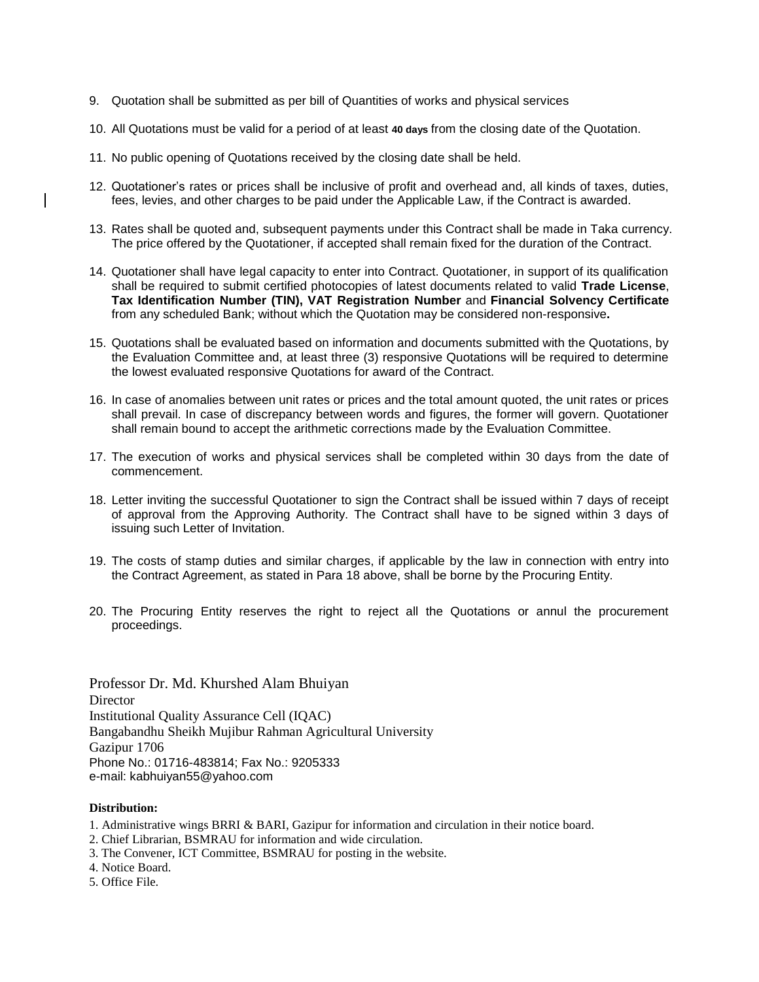- 9. Quotation shall be submitted as per bill of Quantities of works and physical services
- 10. All Quotations must be valid for a period of at least **40 days** from the closing date of the Quotation.
- 11. No public opening of Quotations received by the closing date shall be held.
- 12. Quotationer's rates or prices shall be inclusive of profit and overhead and, all kinds of taxes, duties, fees, levies, and other charges to be paid under the Applicable Law, if the Contract is awarded.
- 13. Rates shall be quoted and, subsequent payments under this Contract shall be made in Taka currency. The price offered by the Quotationer, if accepted shall remain fixed for the duration of the Contract.
- 14. Quotationer shall have legal capacity to enter into Contract. Quotationer, in support of its qualification shall be required to submit certified photocopies of latest documents related to valid **Trade License**, **Tax Identification Number (TIN), VAT Registration Number** and **Financial Solvency Certificate** from any scheduled Bank; without which the Quotation may be considered non-responsive**.**
- 15. Quotations shall be evaluated based on information and documents submitted with the Quotations, by the Evaluation Committee and, at least three (3) responsive Quotations will be required to determine the lowest evaluated responsive Quotations for award of the Contract.
- 16. In case of anomalies between unit rates or prices and the total amount quoted, the unit rates or prices shall prevail. In case of discrepancy between words and figures, the former will govern. Quotationer shall remain bound to accept the arithmetic corrections made by the Evaluation Committee.
- 17. The execution of works and physical services shall be completed within 30 days from the date of commencement.
- 18. Letter inviting the successful Quotationer to sign the Contract shall be issued within 7 days of receipt of approval from the Approving Authority. The Contract shall have to be signed within 3 days of issuing such Letter of Invitation.
- 19. The costs of stamp duties and similar charges, if applicable by the law in connection with entry into the Contract Agreement, as stated in Para 18 above, shall be borne by the Procuring Entity.
- 20. The Procuring Entity reserves the right to reject all the Quotations or annul the procurement proceedings.

Professor Dr. Md. Khurshed Alam Bhuiyan Director Institutional Quality Assurance Cell (IQAC) Bangabandhu Sheikh Mujibur Rahman Agricultural University Gazipur 1706 Phone No.: 01716-483814; Fax No.: 9205333 e-mail: kabhuiyan55@yahoo.com

#### **Distribution:**

- 1. Administrative wings BRRI & BARI, Gazipur for information and circulation in their notice board.
- 2. Chief Librarian, BSMRAU for information and wide circulation.
- 3. The Convener, ICT Committee, BSMRAU for posting in the website.
- 4. Notice Board.
- 5. Office File.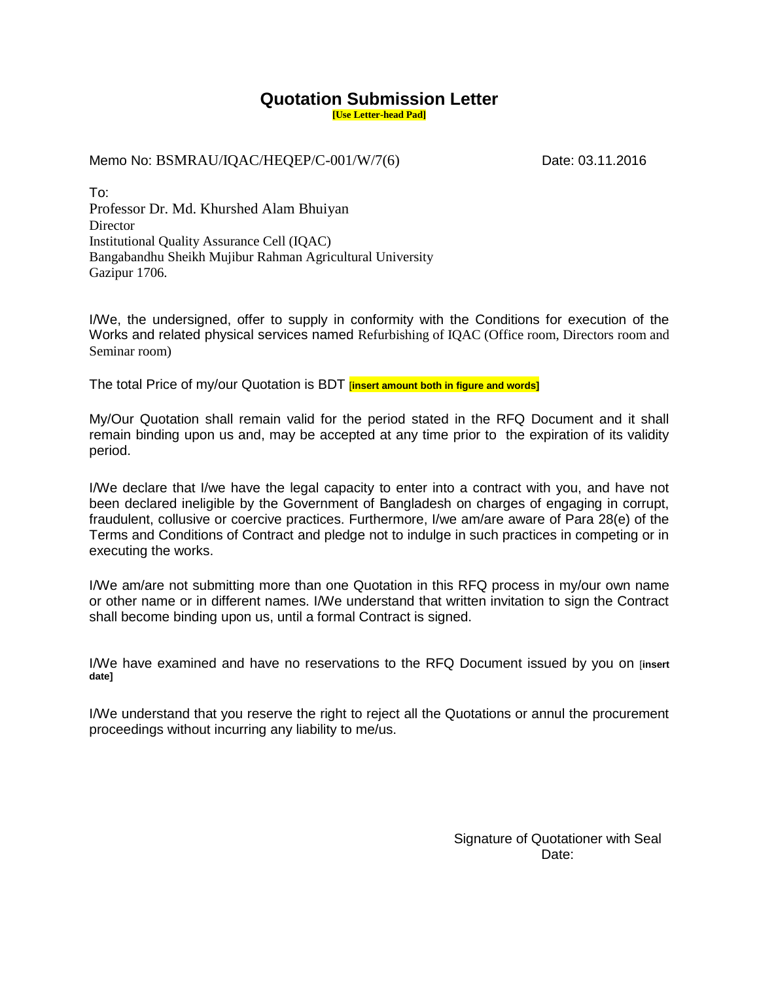### **Quotation Submission Letter**

**[Use Letter-head Pad]**

Memo No: BSMRAU/IQAC/HEQEP/C-001/W/7(6) Date: 03.11.2016

To: Professor Dr. Md. Khurshed Alam Bhuiyan Director Institutional Quality Assurance Cell (IQAC) Bangabandhu Sheikh Mujibur Rahman Agricultural University Gazipur 1706.

I/We, the undersigned, offer to supply in conformity with the Conditions for execution of the Works and related physical services named Refurbishing of IQAC (Office room, Directors room and Seminar room)

The total Price of my/our Quotation is BDT [**insert amount both in figure and words]**

My/Our Quotation shall remain valid for the period stated in the RFQ Document and it shall remain binding upon us and, may be accepted at any time prior to the expiration of its validity period.

I/We declare that I/we have the legal capacity to enter into a contract with you, and have not been declared ineligible by the Government of Bangladesh on charges of engaging in corrupt, fraudulent, collusive or coercive practices. Furthermore, I/we am/are aware of Para 28(e) of the Terms and Conditions of Contract and pledge not to indulge in such practices in competing or in executing the works.

I/We am/are not submitting more than one Quotation in this RFQ process in my/our own name or other name or in different names. I/We understand that written invitation to sign the Contract shall become binding upon us, until a formal Contract is signed.

I/We have examined and have no reservations to the RFQ Document issued by you on [**insert date]** 

I/We understand that you reserve the right to reject all the Quotations or annul the procurement proceedings without incurring any liability to me/us.

> Signature of Quotationer with Seal Date: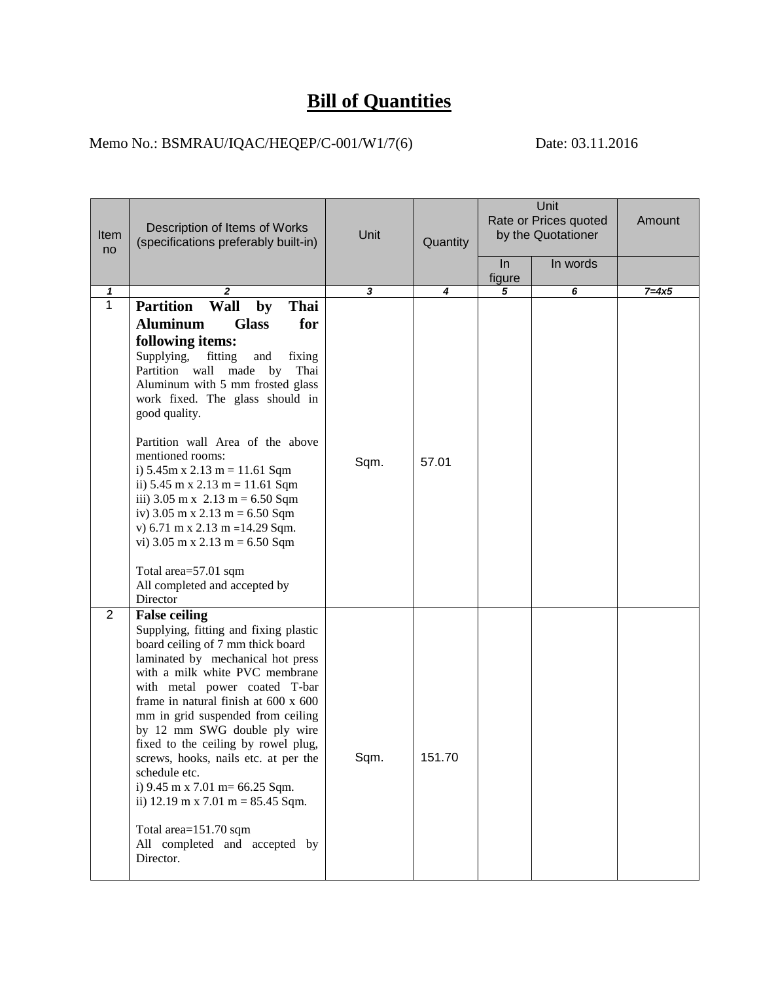# **Bill of Quantities**

### Memo No.: BSMRAU/IQAC/HEQEP/C-001/W1/7(6)Date: 03.11.2016

| Item<br>no     | Description of Items of Works<br>(specifications preferably built-in)                                                                                                                                                                                                                                                                                                                                                                                                                                                                                                                                                                                                                                   | Unit | Quantity | Unit<br>Rate or Prices quoted<br>by the Quotationer |          | Amount    |
|----------------|---------------------------------------------------------------------------------------------------------------------------------------------------------------------------------------------------------------------------------------------------------------------------------------------------------------------------------------------------------------------------------------------------------------------------------------------------------------------------------------------------------------------------------------------------------------------------------------------------------------------------------------------------------------------------------------------------------|------|----------|-----------------------------------------------------|----------|-----------|
|                |                                                                                                                                                                                                                                                                                                                                                                                                                                                                                                                                                                                                                                                                                                         |      |          | $\ln$<br>figure                                     | In words |           |
| 1              | 2                                                                                                                                                                                                                                                                                                                                                                                                                                                                                                                                                                                                                                                                                                       | 3    | 4        | 5                                                   | 6        | $7 = 4x5$ |
| $\overline{1}$ | <b>Partition</b><br>Wall<br>Thai<br>by<br><b>Aluminum</b><br><b>Glass</b><br>for<br>following items:<br>Supplying,<br>fitting<br>and<br>fixing<br>Partition wall made by<br>Thai<br>Aluminum with 5 mm frosted glass<br>work fixed. The glass should in<br>good quality.<br>Partition wall Area of the above<br>mentioned rooms:<br>i) $5.45m x 2.13 m = 11.61 Sqm$<br>ii) $5.45 \text{ m} \times 2.13 \text{ m} = 11.61 \text{ Sqm}$<br>iii) $3.05 \text{ m} \times 2.13 \text{ m} = 6.50 \text{ S} \text{q} \text{m}$<br>iv) 3.05 m x 2.13 m = 6.50 Sqm<br>v) 6.71 m x 2.13 m = 14.29 Sqm.<br>vi) $3.05$ m x $2.13$ m = 6.50 Sqm<br>Total area=57.01 sqm<br>All completed and accepted by<br>Director | Sqm. | 57.01    |                                                     |          |           |
| $\overline{2}$ | <b>False ceiling</b><br>Supplying, fitting and fixing plastic<br>board ceiling of 7 mm thick board<br>laminated by mechanical hot press<br>with a milk white PVC membrane<br>with metal power coated T-bar<br>frame in natural finish at 600 x 600<br>mm in grid suspended from ceiling<br>by 12 mm SWG double ply wire<br>fixed to the ceiling by rowel plug,<br>screws, hooks, nails etc. at per the<br>schedule etc.<br>i) $9.45 \text{ m} \times 7.01 \text{ m} = 66.25 \text{ S} \text{q} \text{m}$ .<br>ii) 12.19 m x 7.01 m = $85.45$ Sqm.<br>Total area=151.70 sqm<br>All completed and accepted by<br>Director.                                                                                | Sqm. | 151.70   |                                                     |          |           |